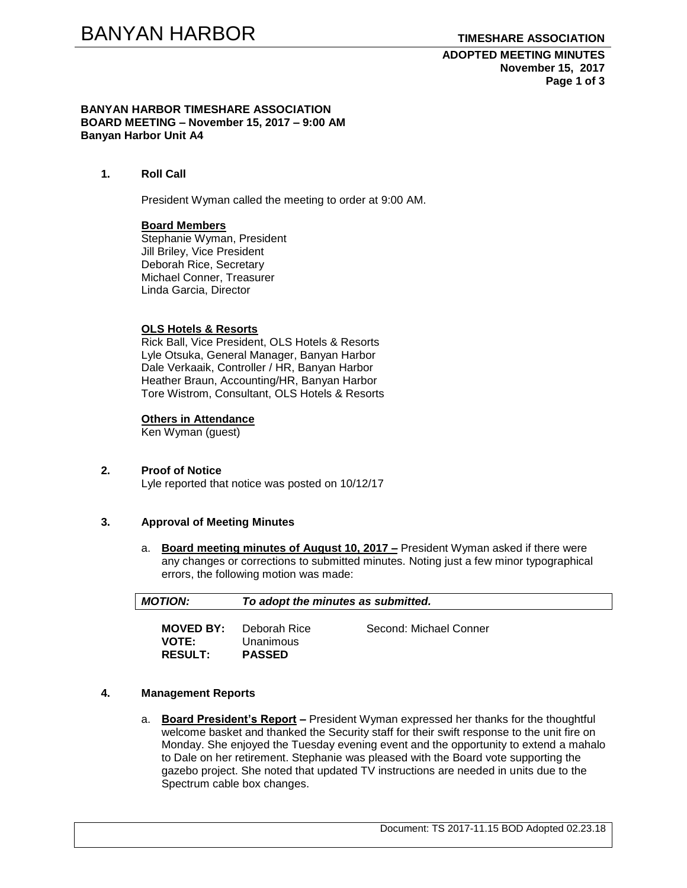**ADOPTED MEETING MINUTES November 15, 2017 Page 1 of 3**

#### **BANYAN HARBOR TIMESHARE ASSOCIATION BOARD MEETING – November 15, 2017 – 9:00 AM Banyan Harbor Unit A4**

**1. Roll Call**

President Wyman called the meeting to order at 9:00 AM.

# **Board Members**

Stephanie Wyman, President Jill Briley, Vice President Deborah Rice, Secretary Michael Conner, Treasurer Linda Garcia, Director

#### **OLS Hotels & Resorts**

Rick Ball, Vice President, OLS Hotels & Resorts Lyle Otsuka, General Manager, Banyan Harbor Dale Verkaaik, Controller / HR, Banyan Harbor Heather Braun, Accounting/HR, Banyan Harbor Tore Wistrom, Consultant, OLS Hotels & Resorts

#### **Others in Attendance**

Ken Wyman (guest)

#### **2. Proof of Notice**

Lyle reported that notice was posted on 10/12/17

#### **3. Approval of Meeting Minutes**

a. **Board meeting minutes of August 10, 2017 –** President Wyman asked if there were any changes or corrections to submitted minutes. Noting just a few minor typographical errors, the following motion was made:

| <b>MOTION:</b>                                     | To adopt the minutes as submitted.         |                        |  |
|----------------------------------------------------|--------------------------------------------|------------------------|--|
| <b>MOVED BY:</b><br><b>VOTE:</b><br><b>RESULT:</b> | Deborah Rice<br>Unanimous<br><b>PASSED</b> | Second: Michael Conner |  |

#### **4. Management Reports**

a. **Board President's Report –** President Wyman expressed her thanks for the thoughtful welcome basket and thanked the Security staff for their swift response to the unit fire on Monday. She enjoyed the Tuesday evening event and the opportunity to extend a mahalo to Dale on her retirement. Stephanie was pleased with the Board vote supporting the gazebo project. She noted that updated TV instructions are needed in units due to the Spectrum cable box changes.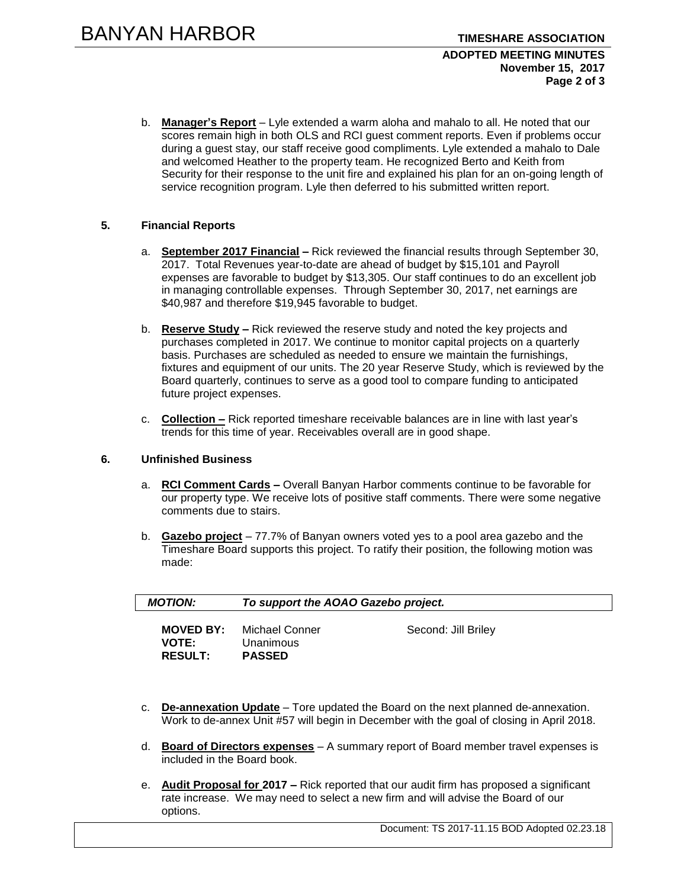#### **ADOPTED MEETING MINUTES November 15, 2017 Page 2 of 3**

b. **Manager's Report** – Lyle extended a warm aloha and mahalo to all. He noted that our scores remain high in both OLS and RCI guest comment reports. Even if problems occur during a guest stay, our staff receive good compliments. Lyle extended a mahalo to Dale and welcomed Heather to the property team. He recognized Berto and Keith from Security for their response to the unit fire and explained his plan for an on-going length of service recognition program. Lyle then deferred to his submitted written report.

# **5. Financial Reports**

- a. **September 2017 Financial –** Rick reviewed the financial results through September 30, 2017. Total Revenues year-to-date are ahead of budget by \$15,101 and Payroll expenses are favorable to budget by \$13,305. Our staff continues to do an excellent job in managing controllable expenses. Through September 30, 2017, net earnings are \$40,987 and therefore \$19,945 favorable to budget.
- b. **Reserve Study –** Rick reviewed the reserve study and noted the key projects and purchases completed in 2017. We continue to monitor capital projects on a quarterly basis. Purchases are scheduled as needed to ensure we maintain the furnishings, fixtures and equipment of our units. The 20 year Reserve Study, which is reviewed by the Board quarterly, continues to serve as a good tool to compare funding to anticipated future project expenses.
- c. **Collection –** Rick reported timeshare receivable balances are in line with last year's trends for this time of year. Receivables overall are in good shape.

# **6. Unfinished Business**

- a. **RCI Comment Cards –** Overall Banyan Harbor comments continue to be favorable for our property type. We receive lots of positive staff comments. There were some negative comments due to stairs.
- b. **Gazebo project** 77.7% of Banyan owners voted yes to a pool area gazebo and the Timeshare Board supports this project. To ratify their position, the following motion was made:

| <b>MOTION:</b>                                     | To support the AOAO Gazebo project.          |                     |  |
|----------------------------------------------------|----------------------------------------------|---------------------|--|
| <b>MOVED BY:</b><br><b>VOTE:</b><br><b>RESULT:</b> | Michael Conner<br>Unanimous<br><b>PASSED</b> | Second: Jill Briley |  |

- c. **De-annexation Update** Tore updated the Board on the next planned de-annexation. Work to de-annex Unit #57 will begin in December with the goal of closing in April 2018.
- d. **Board of Directors expenses** A summary report of Board member travel expenses is included in the Board book.
- e. **Audit Proposal for 2017 –** Rick reported that our audit firm has proposed a significant rate increase. We may need to select a new firm and will advise the Board of our options.

Document: TS 2017-11.15 BOD Adopted 02.23.18